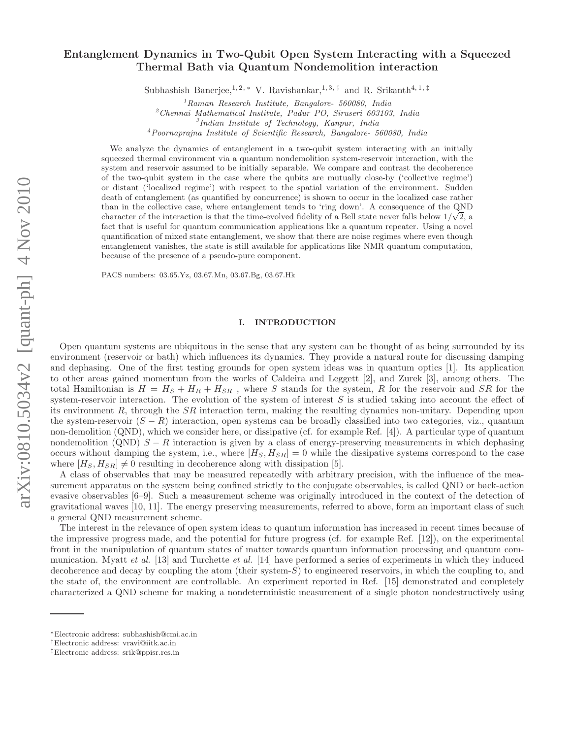# Entanglement Dynamics in Two-Qubit Open System Interacting with a Squeezed Thermal Bath via Quantum Nondemolition interaction

Subhashish Banerjee,<sup>1, 2, \*</sup> V. Ravishankar,<sup>1, 3, †</sup> and R. Srikanth<sup>4, 1, ‡</sup>

<sup>1</sup>*Raman Research Institute, Bangalore- 560080, India* <sup>2</sup>*Chennai Mathematical Institute, Padur PO, Siruseri 603103, India* 3 *Indian Institute of Technology, Kanpur, India*

<sup>4</sup>*Poornaprajna Institute of Scientific Research, Bangalore- 560080, India*

We analyze the dynamics of entanglement in a two-qubit system interacting with an initially squeezed thermal environment via a quantum nondemolition system-reservoir interaction, with the system and reservoir assumed to be initially separable. We compare and contrast the decoherence of the two-qubit system in the case where the qubits are mutually close-by ('collective regime') or distant ('localized regime') with respect to the spatial variation of the environment. Sudden death of entanglement (as quantified by concurrence) is shown to occur in the localized case rather than in the collective case, where entanglement tends to 'ring down'. A consequence of the QND character of the interaction is that the time-evolved fidelity of a Bell state never falls below  $1/\sqrt{2}$ , a fact that is useful for quantum communication applications like a quantum repeater. Using a novel quantification of mixed state entanglement, we show that there are noise regimes where even though entanglement vanishes, the state is still available for applications like NMR quantum computation, because of the presence of a pseudo-pure component.

PACS numbers: 03.65.Yz, 03.67.Mn, 03.67.Bg, 03.67.Hk

## I. INTRODUCTION

Open quantum systems are ubiquitous in the sense that any system can be thought of as being surrounded by its environment (reservoir or bath) which influences its dynamics. They provide a natural route for discussing damping and dephasing. One of the first testing grounds for open system ideas was in quantum optics [1]. Its application to other areas gained momentum from the works of Caldeira and Leggett [2], and Zurek [3], among others. The total Hamiltonian is  $H = H_S + H_R + H_{SR}$ , where S stands for the system, R for the reservoir and SR for the system-reservoir interaction. The evolution of the system of interest  $S$  is studied taking into account the effect of its environment  $R$ , through the  $SR$  interaction term, making the resulting dynamics non-unitary. Depending upon the system-reservoir  $(S - R)$  interaction, open systems can be broadly classified into two categories, viz., quantum non-demolition (QND), which we consider here, or dissipative (cf. for example Ref. [4]). A particular type of quantum nondemolition (QND)  $S - R$  interaction is given by a class of energy-preserving measurements in which dephasing occurs without damping the system, i.e., where  $[H_S, H_{SR}] = 0$  while the dissipative systems correspond to the case where  $[H_S, H_{SR}] \neq 0$  resulting in decoherence along with dissipation [5].

A class of observables that may be measured repeatedly with arbitrary precision, with the influence of the measurement apparatus on the system being confined strictly to the conjugate observables, is called QND or back-action evasive observables [6–9]. Such a measurement scheme was originally introduced in the context of the detection of gravitational waves [10, 11]. The energy preserving measurements, referred to above, form an important class of such a general QND measurement scheme.

The interest in the relevance of open system ideas to quantum information has increased in recent times because of the impressive progress made, and the potential for future progress (cf. for example Ref. [12]), on the experimental front in the manipulation of quantum states of matter towards quantum information processing and quantum communication. Myatt et al. [13] and Turchette et al. [14] have performed a series of experiments in which they induced decoherence and decay by coupling the atom (their system- $S$ ) to engineered reservoirs, in which the coupling to, and the state of, the environment are controllable. An experiment reported in Ref. [15] demonstrated and completely characterized a QND scheme for making a nondeterministic measurement of a single photon nondestructively using

<sup>∗</sup>Electronic address: subhashish@cmi.ac.in

<sup>†</sup>Electronic address: vravi@iitk.ac.in

<sup>‡</sup>Electronic address: srik@ppisr.res.in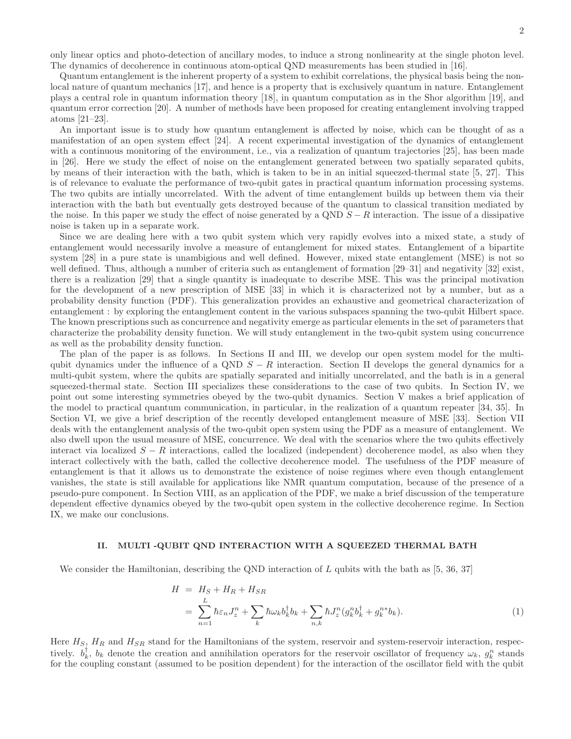only linear optics and photo-detection of ancillary modes, to induce a strong nonlinearity at the single photon level. The dynamics of decoherence in continuous atom-optical QND measurements has been studied in [16].

Quantum entanglement is the inherent property of a system to exhibit correlations, the physical basis being the nonlocal nature of quantum mechanics [17], and hence is a property that is exclusively quantum in nature. Entanglement plays a central role in quantum information theory [18], in quantum computation as in the Shor algorithm [19], and quantum error correction [20]. A number of methods have been proposed for creating entanglement involving trapped atoms [21–23].

An important issue is to study how quantum entanglement is affected by noise, which can be thought of as a manifestation of an open system effect [24]. A recent experimental investigation of the dynamics of entanglement with a continuous monitoring of the environment, i.e., via a realization of quantum trajectories [25], has been made in [26]. Here we study the effect of noise on the entanglement generated between two spatially separated qubits, by means of their interaction with the bath, which is taken to be in an initial squeezed-thermal state [5, 27]. This is of relevance to evaluate the performance of two-qubit gates in practical quantum information processing systems. The two qubits are intially uncorrelated. With the advent of time entanglement builds up between them via their interaction with the bath but eventually gets destroyed because of the quantum to classical transition mediated by the noise. In this paper we study the effect of noise generated by a QND  $S - R$  interaction. The issue of a dissipative noise is taken up in a separate work.

Since we are dealing here with a two qubit system which very rapidly evolves into a mixed state, a study of entanglement would necessarily involve a measure of entanglement for mixed states. Entanglement of a bipartite system [28] in a pure state is unambigious and well defined. However, mixed state entanglement (MSE) is not so well defined. Thus, although a number of criteria such as entanglement of formation [29–31] and negativity [32] exist, there is a realization [29] that a single quantity is inadequate to describe MSE. This was the principal motivation for the development of a new prescription of MSE [33] in which it is characterized not by a number, but as a probability density function (PDF). This generalization provides an exhaustive and geometrical characterization of entanglement : by exploring the entanglement content in the various subspaces spanning the two-qubit Hilbert space. The known prescriptions such as concurrence and negativity emerge as particular elements in the set of parameters that characterize the probability density function. We will study entanglement in the two-qubit system using concurrence as well as the probability density function.

The plan of the paper is as follows. In Sections II and III, we develop our open system model for the multiqubit dynamics under the influence of a QND  $S - R$  interaction. Section II develops the general dynamics for a multi-qubit system, where the qubits are spatially separated and initially uncorrelated, and the bath is in a general squeezed-thermal state. Section III specializes these considerations to the case of two qubits. In Section IV, we point out some interesting symmetries obeyed by the two-qubit dynamics. Section V makes a brief application of the model to practical quantum communication, in particular, in the realization of a quantum repeater [34, 35]. In Section VI, we give a brief description of the recently developed entanglement measure of MSE [33]. Section VII deals with the entanglement analysis of the two-qubit open system using the PDF as a measure of entanglement. We also dwell upon the usual measure of MSE, concurrence. We deal with the scenarios where the two qubits effectively interact via localized  $S - R$  interactions, called the localized (independent) decoherence model, as also when they interact collectively with the bath, called the collective decoherence model. The usefulness of the PDF measure of entanglement is that it allows us to demonstrate the existence of noise regimes where even though entanglement vanishes, the state is still available for applications like NMR quantum computation, because of the presence of a pseudo-pure component. In Section VIII, as an application of the PDF, we make a brief discussion of the temperature dependent effective dynamics obeyed by the two-qubit open system in the collective decoherence regime. In Section IX, we make our conclusions.

#### II. MULTI -QUBIT QND INTERACTION WITH A SQUEEZED THERMAL BATH

We consider the Hamiltonian, describing the QND interaction of L qubits with the bath as [5, 36, 37]

$$
H = H_S + H_R + H_{SR}
$$
  
=  $\sum_{n=1}^{L} \hbar \varepsilon_n J_z^n + \sum_k \hbar \omega_k b_k^{\dagger} b_k + \sum_{n,k} \hbar J_z^n (g_k^n b_k^{\dagger} + g_k^{n*} b_k).$  (1)

Here  $H_S$ ,  $H_R$  and  $H_{SR}$  stand for the Hamiltonians of the system, reservoir and system-reservoir interaction, respectively.  $b_k^{\dagger}$ ,  $b_k$  denote the creation and annihilation operators for the reservoir oscillator of frequency  $\omega_k$ ,  $g_k^n$  stands for the coupling constant (assumed to be position dependent) for the interaction of the oscillator field with the qubit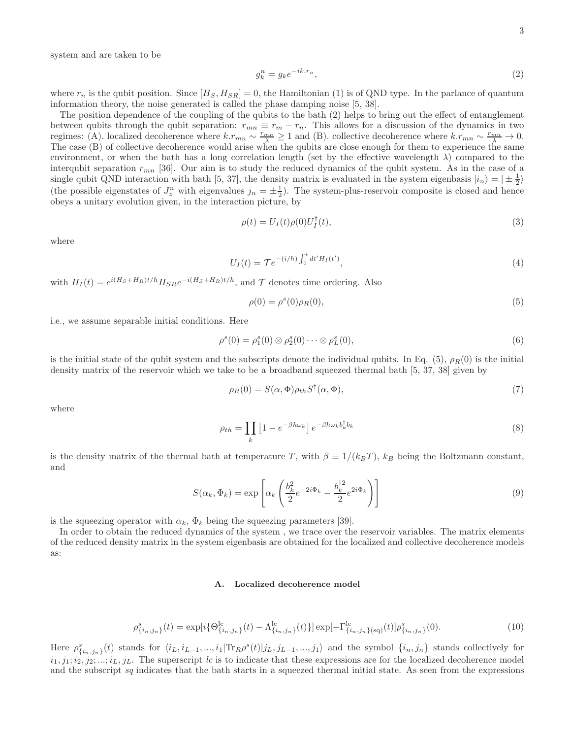system and are taken to be

$$
g_k^n = g_k e^{-ik \cdot r_n},\tag{2}
$$

where  $r_n$  is the qubit position. Since  $[H_S, H_{SR}] = 0$ , the Hamiltonian (1) is of QND type. In the parlance of quantum information theory, the noise generated is called the phase damping noise [5, 38].

The position dependence of the coupling of the qubits to the bath (2) helps to bring out the effect of entanglement between qubits through the qubit separation:  $r_{mn} \equiv r_m - r_n$ . This allows for a discussion of the dynamics in two regimes: (A). localized decoherence where  $k.r_{mn} \sim \frac{r_{mn}}{\lambda} \ge 1$  and (B). collective decoherence where  $k.r_{mn} \sim \frac{r_{mn}}{\lambda} \to 0$ . The case (B) of collective decoherence would arise when the qubits are close enough for them to experience the same environment, or when the bath has a long correlation length (set by the effective wavelength  $\lambda$ ) compared to the interqubit separation  $r_{mn}$  [36]. Our aim is to study the reduced dynamics of the qubit system. As in the case of a single qubit QND interaction with bath [5, 37], the density matrix is evaluated in the system eigenbasis  $|i_n\rangle = |\pm \frac{1}{2}\rangle$ (the possible eigenstates of  $J_z^n$  with eigenvalues  $j_n = \pm \frac{1}{2}$ ). The system-plus-reservoir composite is closed and hence obeys a unitary evolution given, in the interaction picture, by

$$
\rho(t) = U_I(t)\rho(0)U_I^{\dagger}(t),\tag{3}
$$

where

$$
U_I(t) = \mathcal{T}e^{-(i/\hbar)\int_0^t dt' H_I(t')},\tag{4}
$$

with  $H_I(t) = e^{i(H_S + H_R)t/\hbar} H_{SR} e^{-i(H_S + H_R)t/\hbar}$ , and  $\mathcal{T}$  denotes time ordering. Also

$$
\rho(0) = \rho^s(0)\rho_R(0),\tag{5}
$$

i.e., we assume separable initial conditions. Here

$$
\rho^s(0) = \rho_1^s(0) \otimes \rho_2^s(0) \cdots \otimes \rho_L^s(0), \tag{6}
$$

is the initial state of the qubit system and the subscripts denote the individual qubits. In Eq. (5),  $\rho_R(0)$  is the initial density matrix of the reservoir which we take to be a broadband squeezed thermal bath [5, 37, 38] given by

$$
\rho_R(0) = S(\alpha, \Phi)\rho_{th}S^{\dagger}(\alpha, \Phi),\tag{7}
$$

where

$$
\rho_{th} = \prod_{k} \left[ 1 - e^{-\beta \hbar \omega_k} \right] e^{-\beta \hbar \omega_k b_k^{\dagger} b_k} \tag{8}
$$

is the density matrix of the thermal bath at temperature T, with  $\beta \equiv 1/(k_BT)$ ,  $k_B$  being the Boltzmann constant, and

$$
S(\alpha_k, \Phi_k) = \exp\left[\alpha_k \left(\frac{b_k^2}{2} e^{-2i\Phi_k} - \frac{b_k^{\dagger 2}}{2} e^{2i\Phi_k}\right)\right]
$$
\n(9)

is the squeezing operator with  $\alpha_k$ ,  $\Phi_k$  being the squeezing parameters [39].

In order to obtain the reduced dynamics of the system , we trace over the reservoir variables. The matrix elements of the reduced density matrix in the system eigenbasis are obtained for the localized and collective decoherence models as:

## A. Localized decoherence model

$$
\rho_{\{i_n,j_n\}}^s(t) = \exp[i\{\Theta_{\{i_n,j_n\}}^{\text{lc}}(t) - \Lambda_{\{i_n,j_n\}}^{\text{lc}}(t)\}] \exp[-\Gamma_{\{i_n,j_n\}(sq)}^{\text{lc}}(t)]\rho_{\{i_n,j_n\}}^s(0). \tag{10}
$$

Here  $\rho_{\{i_n,j_n\}}^s(t)$  stands for  $\langle i_L, i_{L-1},...,i_1|\text{Tr}_R\rho^s(t)|j_L,j_{L-1},...,j_1\rangle$  and the symbol  $\{i_n,j_n\}$  stands collectively for  $i_1, j_1; i_2, j_2; \ldots; i_L, j_L$ . The superscript lc is to indicate that these expressions are for the localized decoherence model and the subscript sq indicates that the bath starts in a squeezed thermal initial state. As seen from the expressions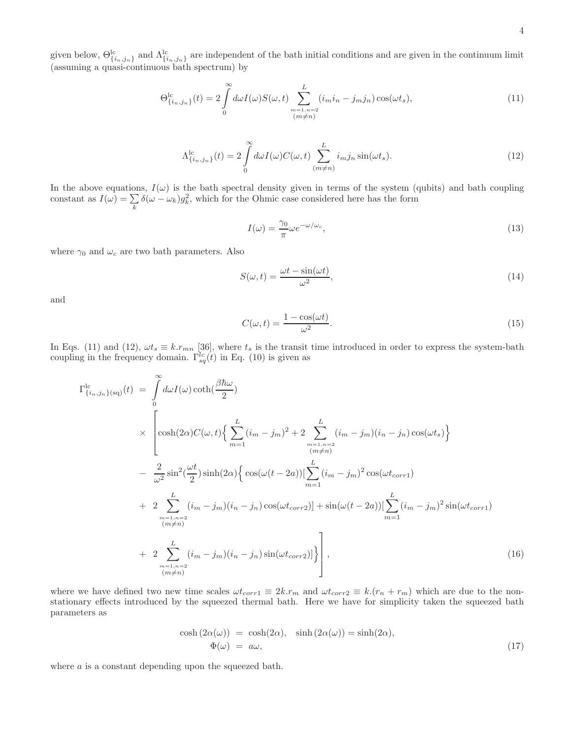given below,  $\Theta_{\{i_n,j_n\}}^{\text{lc}}$  and  $\Lambda_{\{i_n,j_n\}}^{\text{lc}}$  are independent of the bath initial conditions and are given in the continuum limit (assuming a quasi-continuous bath spectrum) by

$$
\Theta_{\{i_n,j_n\}}^{lc}(t) = 2 \int_{0}^{\infty} d\omega I(\omega) S(\omega, t) \sum_{\substack{m=1, n=2 \\ (m \neq n)}}^{L} (i_m i_n - j_m j_n) \cos(\omega t_s), \tag{11}
$$

$$
\Lambda_{\{i_{n},j_{n}\}}^{lc}(t) = 2 \int_{0}^{\infty} d\omega I(\omega) C(\omega, t) \sum_{(m \neq n)}^{L} i_{m} j_{n} \sin(\omega t_{s}). \tag{12}
$$

In the above equations,  $I(\omega)$  is the bath spectral density given in terms of the system (qubits) and bath coupling constant as  $I(\omega) = \sum$  $\sum_{k} \delta(\omega - \omega_k) g_k^2$ , which for the Ohmic case considered here has the form

$$
I(\omega) = \frac{\gamma_0}{\pi} \omega e^{-\omega/\omega_c},\tag{13}
$$

where  $\gamma_0$  and  $\omega_c$  are two bath parameters. Also

$$
S(\omega, t) = \frac{\omega t - \sin(\omega t)}{\omega^2},\tag{14}
$$

and

$$
C(\omega, t) = \frac{1 - \cos(\omega t)}{\omega^2}.
$$
\n(15)

In Eqs. (11) and (12),  $\omega t_s \equiv k \cdot r_{mn}$  [36], where  $t_s$  is the transit time introduced in order to express the system-bath coupling in the frequency domain.  $\Gamma_{sq}^{lc}(t)$  in Eq. (10) is given as

$$
\Gamma_{\{i_n,j_n\}(sq)}^{lc}(t) = \int_{0}^{\infty} d\omega I(\omega) \coth(\frac{\beta \hbar \omega}{2})
$$
\n
$$
\times \left[ \cosh(2\alpha) C(\omega, t) \left\{ \sum_{m=1}^{L} (i_m - j_m)^2 + 2 \sum_{\substack{m=1, n=2 \\ (m \neq n)}}^{L} (i_m - j_m)(i_n - j_n) \cos(\omega t_s) \right\} \right]
$$
\n
$$
- \frac{2}{\omega^2} \sin^2(\frac{\omega t}{2}) \sinh(2\alpha) \left\{ \cos(\omega (t - 2a)) [\sum_{m=1}^{L} (i_m - j_m)^2 \cos(\omega t_{corr1}) + 2 \sum_{\substack{m=1, n=2 \\ (m \neq n)}}^{L} (i_m - j_m)(i_n - j_n) \cos(\omega t_{corr2})] + \sin(\omega (t - 2a)) [\sum_{m=1}^{L} (i_m - j_m)^2 \sin(\omega t_{corr1}) + 2 \sum_{\substack{m=1, n=2 \\ (m \neq n)}}^{L} (i_m - j_m)(i_n - j_n) \sin(\omega t_{corr2})] \right\}, \tag{16}
$$

where we have defined two new time scales  $\omega t_{corr1} \equiv 2k \cdot r_m$  and  $\omega t_{corr2} \equiv k \cdot (r_n + r_m)$  which are due to the nonstationary effects introduced by the squeezed thermal bath. Here we have for simplicity taken the squeezed bath parameters as

$$
\cosh(2\alpha(\omega)) = \cosh(2\alpha), \quad \sinh(2\alpha(\omega)) = \sinh(2\alpha), \n\Phi(\omega) = a\omega,
$$
\n(17)

where  $a$  is a constant depending upon the squeezed bath.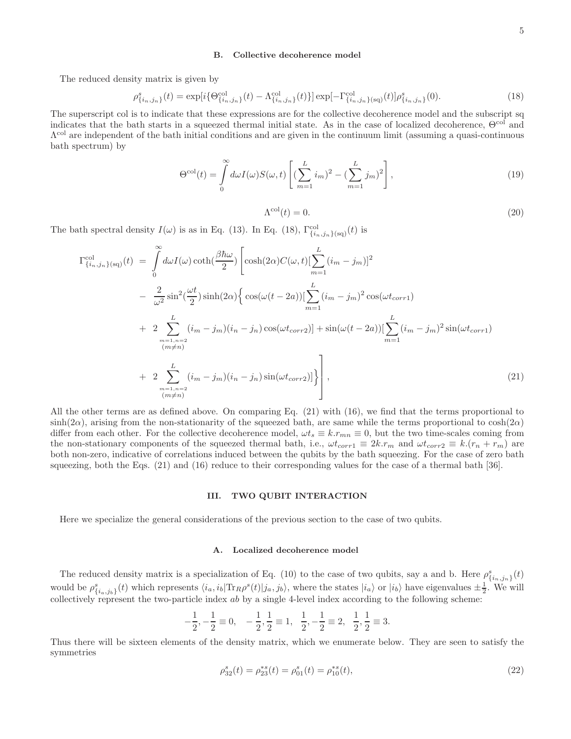#### B. Collective decoherence model

The reduced density matrix is given by

$$
\rho_{\{i_n,j_n\}}^s(t) = \exp[i\{\Theta_{\{i_n,j_n\}}^{\text{col}}(t) - \Lambda_{\{i_n,j_n\}}^{\text{col}}(t)\}] \exp[-\Gamma_{\{i_n,j_n\}(sq)}^{\text{col}}(t)]\rho_{\{i_n,j_n\}}^s(0). \tag{18}
$$

The superscript col is to indicate that these expressions are for the collective decoherence model and the subscript sq indicates that the bath starts in a squeezed thermal initial state. As in the case of localized decoherence,  $\Theta^{\text{col}}$  and Λ col are independent of the bath initial conditions and are given in the continuum limit (assuming a quasi-continuous bath spectrum) by

$$
\Theta^{\text{col}}(t) = \int_{0}^{\infty} d\omega I(\omega) S(\omega, t) \left[ \left( \sum_{m=1}^{L} i_m \right)^2 - \left( \sum_{m=1}^{L} j_m \right)^2 \right], \tag{19}
$$

$$
\Lambda^{\text{col}}(t) = 0. \tag{20}
$$

The bath spectral density  $I(\omega)$  is as in Eq. (13). In Eq. (18),  $\Gamma_{\{i_n,j_n\}(sq)}^{col}(t)$  is

$$
\Gamma_{\{i_n,j_n\}(sq)}^{col}(t) = \int_{0}^{\infty} d\omega I(\omega) \coth\left(\frac{\beta \hbar \omega}{2}\right) \left[ \cosh(2\alpha) C(\omega, t) \left[ \sum_{m=1}^{L} (i_m - j_m) \right]^2 \right.\n- \frac{2}{\omega^2} \sin^2\left(\frac{\omega t}{2}\right) \sinh(2\alpha) \left\{ \cos(\omega(t - 2a)) \left[ \sum_{m=1}^{L} (i_m - j_m)^2 \cos(\omega t_{corr1}) \right. \right.\n+ 2 \sum_{\substack{m=1, n=2 \ (m \neq n)}}^{L} (i_m - j_m)(i_n - j_n) \cos(\omega t_{corr2}) \right] + \sin(\omega(t - 2a)) \left[ \sum_{m=1}^{L} (i_m - j_m)^2 \sin(\omega t_{corr1}) \right.\n+ 2 \sum_{\substack{m=1, n=2 \ (m \neq n)}}^{L} (i_m - j_m)(i_n - j_n) \sin(\omega t_{corr2}) \right],
$$
\n(21)

All the other terms are as defined above. On comparing Eq. (21) with (16), we find that the terms proportional to  $\sinh(2\alpha)$ , arising from the non-stationarity of the squeezed bath, are same while the terms proportional to  $\cosh(2\alpha)$ differ from each other. For the collective decoherence model,  $\omega t_s \equiv k \cdot r_{mn} \equiv 0$ , but the two time-scales coming from the non-stationary components of the squeezed thermal bath, i.e.,  $\omega t_{corr1} \equiv 2k \cdot r_m$  and  $\omega t_{corr2} \equiv k \cdot (r_n + r_m)$  are both non-zero, indicative of correlations induced between the qubits by the bath squeezing. For the case of zero bath squeezing, both the Eqs. (21) and (16) reduce to their corresponding values for the case of a thermal bath [36].

## III. TWO QUBIT INTERACTION

Here we specialize the general considerations of the previous section to the case of two qubits.

## A. Localized decoherence model

The reduced density matrix is a specialization of Eq. (10) to the case of two qubits, say a and b. Here  $\rho_{\{i_n,j_n\}}^s(t)$ would be  $\rho_{\{i_a,j_b\}}^s(t)$  which represents  $\langle i_a, i_b | \text{Tr}_R \rho^s(t) | j_a, j_b \rangle$ , where the states  $|i_a\rangle$  or  $|i_b\rangle$  have eigenvalues  $\pm \frac{1}{2}$ . We will collectively represent the two-particle index ab by a single 4-level index according to the following scheme:

$$
-\frac{1}{2}, -\frac{1}{2} \equiv 0, \quad -\frac{1}{2}, \frac{1}{2} \equiv 1, \quad \frac{1}{2}, -\frac{1}{2} \equiv 2, \quad \frac{1}{2}, \frac{1}{2} \equiv 3.
$$

Thus there will be sixteen elements of the density matrix, which we enumerate below. They are seen to satisfy the symmetries

$$
\rho_{32}^s(t) = \rho_{23}^{*s}(t) = \rho_{01}^s(t) = \rho_{10}^{*s}(t),\tag{22}
$$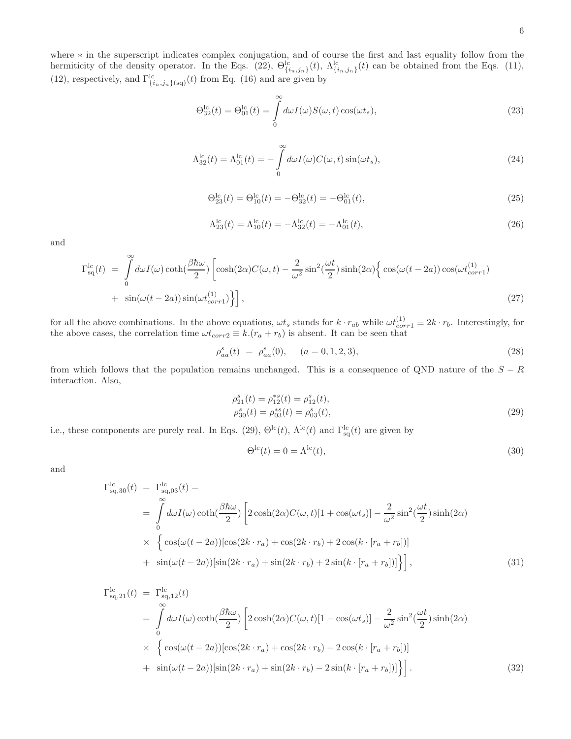where ∗ in the superscript indicates complex conjugation, and of course the first and last equality follow from the hermiticity of the density operator. In the Eqs. (22),  $\Theta_{\{i_n,j_n\}}^{\text{lc}}(t)$ ,  $\Lambda_{\{i_n,j_n\}}^{\text{lc}}(t)$  can be obtained from the Eqs. (11), (12), respectively, and  $\Gamma^{\text{lc}}_{\{i_n,j_n\}(\text{sq})}(t)$  from Eq. (16) and are given by

$$
\Theta_{32}^{\text{lc}}(t) = \Theta_{01}^{\text{lc}}(t) = \int_{0}^{\infty} d\omega I(\omega) S(\omega, t) \cos(\omega t_s), \qquad (23)
$$

$$
\Lambda_{32}^{\text{lc}}(t) = \Lambda_{01}^{\text{lc}}(t) = -\int_{0}^{\infty} d\omega I(\omega) C(\omega, t) \sin(\omega t_s), \tag{24}
$$

$$
\Theta_{23}^{\rm lc}(t) = \Theta_{10}^{\rm lc}(t) = -\Theta_{32}^{\rm lc}(t) = -\Theta_{01}^{\rm lc}(t),\tag{25}
$$

$$
\Lambda_{23}^{\text{lc}}(t) = \Lambda_{10}^{\text{lc}}(t) = -\Lambda_{32}^{\text{lc}}(t) = -\Lambda_{01}^{\text{lc}}(t),\tag{26}
$$

and

$$
\Gamma_{\text{sq}}^{\text{lc}}(t) = \int_{0}^{\infty} d\omega I(\omega) \coth\left(\frac{\beta \hbar \omega}{2}\right) \left[ \cosh(2\alpha) C(\omega, t) - \frac{2}{\omega^2} \sin^2\left(\frac{\omega t}{2}\right) \sinh(2\alpha) \left\{ \cos(\omega (t - 2a)) \cos(\omega t_{corr1}^{(1)}) + \sin(\omega (t - 2a)) \sin(\omega t_{corr1}^{(1)}) \right\} \right],
$$
\n(27)

for all the above combinations. In the above equations,  $\omega t_s$  stands for  $k \cdot r_{ab}$  while  $\omega t_{corr1}^{(1)} \equiv 2k \cdot r_b$ . Interestingly, for the above cases, the correlation time  $\omega t_{corr2} \equiv k.(r_a + r_b)$  is absent. It can be seen that

$$
\rho_{aa}^s(t) = \rho_{aa}^s(0), \quad (a = 0, 1, 2, 3), \tag{28}
$$

from which follows that the population remains unchanged. This is a consequence of QND nature of the  $S - R$ interaction. Also,

$$
\rho_{21}^s(t) = \rho_{12}^s(t) = \rho_{12}^s(t), \n\rho_{30}^s(t) = \rho_{03}^s(t) = \rho_{03}^s(t),
$$
\n(29)

i.e., these components are purely real. In Eqs. (29),  $\Theta^{\rm lc}(t)$ ,  $\Lambda^{\rm lc}(t)$  and  $\Gamma^{\rm lc}_{\rm sq}(t)$  are given by

$$
\Theta^{\rm lc}(t) = 0 = \Lambda^{\rm lc}(t),\tag{30}
$$

and

$$
\Gamma_{\text{sq},30}^{\text{lc}}(t) = \Gamma_{\text{sq},03}^{\text{lc}}(t) =
$$
\n
$$
= \int_{0}^{\infty} d\omega I(\omega) \coth\left(\frac{\beta \hbar \omega}{2}\right) \left[2 \cosh(2\alpha) C(\omega, t)[1 + \cos(\omega t_s)] - \frac{2}{\omega^2} \sin^2\left(\frac{\omega t}{2}\right) \sinh(2\alpha)\right]
$$
\n
$$
\times \left\{ \cos(\omega(t - 2a)) [\cos(2k \cdot r_a) + \cos(2k \cdot r_b) + 2 \cos(k \cdot [r_a + r_b])] + \sin(\omega(t - 2a)) [\sin(2k \cdot r_a) + \sin(2k \cdot r_b) + 2 \sin(k \cdot [r_a + r_b])] \right\},\tag{31}
$$

$$
\Gamma_{\text{sq},21}^{\text{lc}}(t) = \Gamma_{\text{sq},12}^{\text{lc}}(t)
$$
\n
$$
= \int_{0}^{\infty} d\omega I(\omega) \coth\left(\frac{\beta \hbar \omega}{2}\right) \left[2 \cosh(2\alpha) C(\omega, t)[1 - \cos(\omega t_s)] - \frac{2}{\omega^2} \sin^2\left(\frac{\omega t}{2}\right) \sinh(2\alpha)\right]
$$
\n
$$
\times \left\{ \cos(\omega(t - 2a)) [\cos(2k \cdot r_a) + \cos(2k \cdot r_b) - 2 \cos(k \cdot [r_a + r_b])] + \sin(\omega(t - 2a)) [\sin(2k \cdot r_a) + \sin(2k \cdot r_b) - 2 \sin(k \cdot [r_a + r_b])] \right\} \right].
$$
\n(32)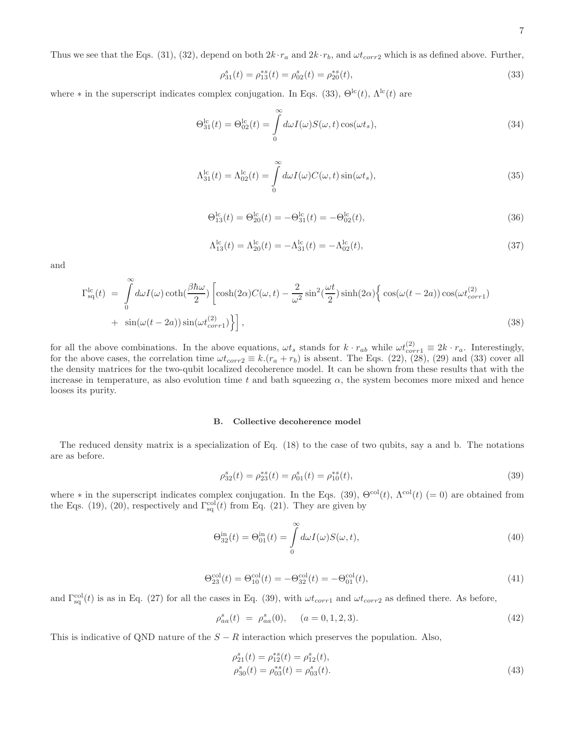Thus we see that the Eqs. (31), (32), depend on both  $2k \cdot r_a$  and  $2k \cdot r_b$ , and  $\omega t_{corr2}$  which is as defined above. Further,

$$
\rho_{31}^s(t) = \rho_{13}^{*s}(t) = \rho_{02}^s(t) = \rho_{20}^{*s}(t),\tag{33}
$$

where  $*$  in the superscript indicates complex conjugation. In Eqs. (33),  $\Theta^{\text{lc}}(t)$ ,  $\Lambda^{\text{lc}}(t)$  are

$$
\Theta_{31}^{\text{lc}}(t) = \Theta_{02}^{\text{lc}}(t) = \int_{0}^{\infty} d\omega I(\omega) S(\omega, t) \cos(\omega t_s), \tag{34}
$$

$$
\Lambda_{31}^{\text{lc}}(t) = \Lambda_{02}^{\text{lc}}(t) = \int_{0}^{\infty} d\omega I(\omega) C(\omega, t) \sin(\omega t_s), \qquad (35)
$$

$$
\Theta_{13}^{\text{lc}}(t) = \Theta_{20}^{\text{lc}}(t) = -\Theta_{31}^{\text{lc}}(t) = -\Theta_{02}^{\text{lc}}(t),\tag{36}
$$

$$
\Lambda_{13}^{\text{lc}}(t) = \Lambda_{20}^{\text{lc}}(t) = -\Lambda_{31}^{\text{lc}}(t) = -\Lambda_{02}^{\text{lc}}(t),\tag{37}
$$

and

$$
\Gamma_{\text{sq}}^{\text{lc}}(t) = \int_{0}^{\infty} d\omega I(\omega) \coth\left(\frac{\beta \hbar \omega}{2}\right) \left[ \cosh(2\alpha) C(\omega, t) - \frac{2}{\omega^2} \sin^2\left(\frac{\omega t}{2}\right) \sinh(2\alpha) \left\{ \cos(\omega (t - 2a)) \cos(\omega t_{corr1}^{(2)}) + \sin(\omega (t - 2a)) \sin(\omega t_{corr1}^{(2)}) \right\} \right],
$$
\n(38)

for all the above combinations. In the above equations,  $\omega t_s$  stands for  $k \cdot r_{ab}$  while  $\omega t_{corr1}^{(2)} \equiv 2k \cdot r_a$ . Interestingly, for the above cases, the correlation time  $\omega t_{corr2} \equiv k.(r_a + r_b)$  is absent. The Eqs. (22), (28), (29) and (33) cover all the density matrices for the two-qubit localized decoherence model. It can be shown from these results that with the increase in temperature, as also evolution time t and bath squeezing  $\alpha$ , the system becomes more mixed and hence looses its purity.

#### B. Collective decoherence model

The reduced density matrix is a specialization of Eq. (18) to the case of two qubits, say a and b. The notations are as before.

$$
\rho_{32}^s(t) = \rho_{23}^{*s}(t) = \rho_{01}^s(t) = \rho_{10}^{*s}(t),\tag{39}
$$

where \* in the superscript indicates complex conjugation. In the Eqs. (39),  $\Theta^{\text{col}}(t)$ ,  $\Lambda^{\text{col}}(t)$  (= 0) are obtained from the Eqs. (19), (20), respectively and  $\Gamma_{\text{sq}}^{\text{col}}(t)$  from Eq. (21). They are given by

$$
\Theta_{32}^{\text{in}}(t) = \Theta_{01}^{\text{in}}(t) = \int_{0}^{\infty} d\omega I(\omega) S(\omega, t), \tag{40}
$$

$$
\Theta_{23}^{\text{col}}(t) = \Theta_{10}^{\text{col}}(t) = -\Theta_{32}^{\text{col}}(t) = -\Theta_{01}^{\text{col}}(t),\tag{41}
$$

and  $\Gamma_{\text{sq}}^{\text{col}}(t)$  is as in Eq. (27) for all the cases in Eq. (39), with  $\omega t_{corr1}$  and  $\omega t_{corr2}$  as defined there. As before,

$$
\rho_{aa}^s(t) = \rho_{aa}^s(0), \quad (a = 0, 1, 2, 3). \tag{42}
$$

This is indicative of QND nature of the  $S - R$  interaction which preserves the population. Also,

$$
\rho_{21}^s(t) = \rho_{12}^s(t) = \rho_{12}^s(t), \n\rho_{30}^s(t) = \rho_{03}^s(t) = \rho_{03}^s(t).
$$
\n(43)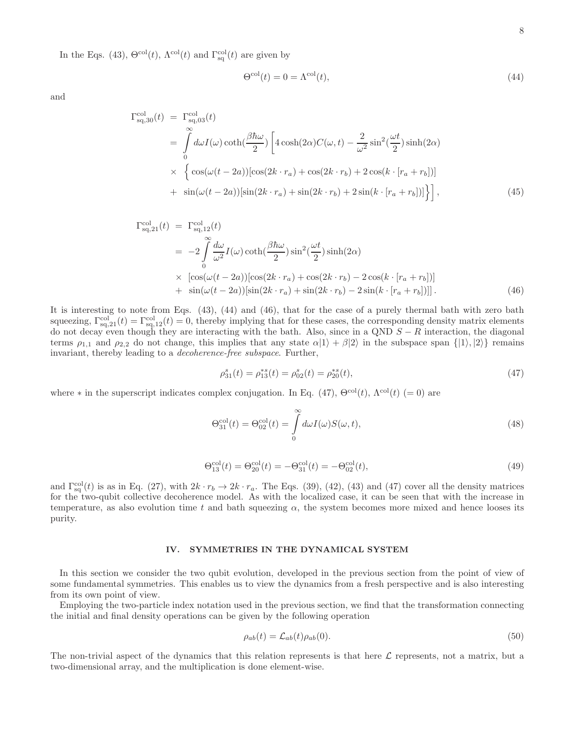In the Eqs. (43),  $\Theta^{\text{col}}(t)$ ,  $\Lambda^{\text{col}}(t)$  and  $\Gamma^{\text{col}}_{\text{sq}}(t)$  are given by

$$
\Theta^{\text{col}}(t) = 0 = \Lambda^{\text{col}}(t),\tag{44}
$$

and

$$
\Gamma_{\text{sq},30}^{\text{col}}(t) = \Gamma_{\text{sq},03}^{\text{col}}(t)
$$
\n
$$
= \int_{0}^{\infty} d\omega I(\omega) \coth\left(\frac{\beta \hbar \omega}{2}\right) \left[4 \cosh(2\alpha) C(\omega, t) - \frac{2}{\omega^{2}} \sin^{2}(\frac{\omega t}{2}) \sinh(2\alpha)\right]
$$
\n
$$
\times \left\{ \cos(\omega(t - 2a)) [\cos(2k \cdot r_{a}) + \cos(2k \cdot r_{b}) + 2 \cos(k \cdot [r_{a} + r_{b}])] + \sin(\omega(t - 2a)) [\sin(2k \cdot r_{a}) + \sin(2k \cdot r_{b}) + 2 \sin(k \cdot [r_{a} + r_{b}])] \right\}, \tag{45}
$$

$$
\Gamma_{\text{sq},21}^{\text{col}}(t) = \Gamma_{\text{sq},12}^{\text{col}}(t)
$$
\n
$$
= -2 \int_{0}^{\infty} \frac{d\omega}{\omega^2} I(\omega) \coth(\frac{\beta \hbar \omega}{2}) \sin^2(\frac{\omega t}{2}) \sinh(2\alpha)
$$
\n
$$
\times \left[ \cos(\omega(t-2a)) [\cos(2k \cdot r_a) + \cos(2k \cdot r_b) - 2 \cos(k \cdot [r_a + r_b])] \right]
$$
\n
$$
+ \sin(\omega(t-2a)) [\sin(2k \cdot r_a) + \sin(2k \cdot r_b) - 2 \sin(k \cdot [r_a + r_b])]]. \tag{46}
$$

It is interesting to note from Eqs. (43), (44) and (46), that for the case of a purely thermal bath with zero bath squeezing,  $\Gamma_{\text{sq},21}^{\text{col}}(t) = \Gamma_{\text{sq},12}^{\text{col}}(t) = 0$ , thereby implying that for these cases, the corresponding density matrix elements do not decay even though they are interacting with the bath. Also, since in a QND  $S - R$  interaction, the diagonal terms  $\rho_{1,1}$  and  $\rho_{2,2}$  do not change, this implies that any state  $\alpha|1\rangle + \beta|2\rangle$  in the subspace span  $\{|1\rangle, |2\rangle\}$  remains invariant, thereby leading to a decoherence-free subspace. Further,

$$
\rho_{31}^s(t) = \rho_{13}^{*s}(t) = \rho_{02}^s(t) = \rho_{20}^{*s}(t),\tag{47}
$$

where  $*$  in the superscript indicates complex conjugation. In Eq. (47),  $\Theta^{\text{col}}(t)$ ,  $\Lambda^{\text{col}}(t)$  (= 0) are

$$
\Theta_{31}^{\text{col}}(t) = \Theta_{02}^{\text{col}}(t) = \int_{0}^{\infty} d\omega I(\omega) S(\omega, t), \qquad (48)
$$

$$
\Theta_{13}^{\text{col}}(t) = \Theta_{20}^{\text{col}}(t) = -\Theta_{31}^{\text{col}}(t) = -\Theta_{02}^{\text{col}}(t),\tag{49}
$$

and  $\Gamma_{\text{sq}}^{\text{col}}(t)$  is as in Eq. (27), with  $2k \cdot r_b \to 2k \cdot r_a$ . The Eqs. (39), (42), (43) and (47) cover all the density matrices for the two-qubit collective decoherence model. As with the localized case, it can be seen that with the increase in temperature, as also evolution time t and bath squeezing  $\alpha$ , the system becomes more mixed and hence looses its purity.

## IV. SYMMETRIES IN THE DYNAMICAL SYSTEM

In this section we consider the two qubit evolution, developed in the previous section from the point of view of some fundamental symmetries. This enables us to view the dynamics from a fresh perspective and is also interesting from its own point of view.

Employing the two-particle index notation used in the previous section, we find that the transformation connecting the initial and final density operations can be given by the following operation

$$
\rho_{ab}(t) = \mathcal{L}_{ab}(t)\rho_{ab}(0). \tag{50}
$$

The non-trivial aspect of the dynamics that this relation represents is that here  $\mathcal L$  represents, not a matrix, but a two-dimensional array, and the multiplication is done element-wise.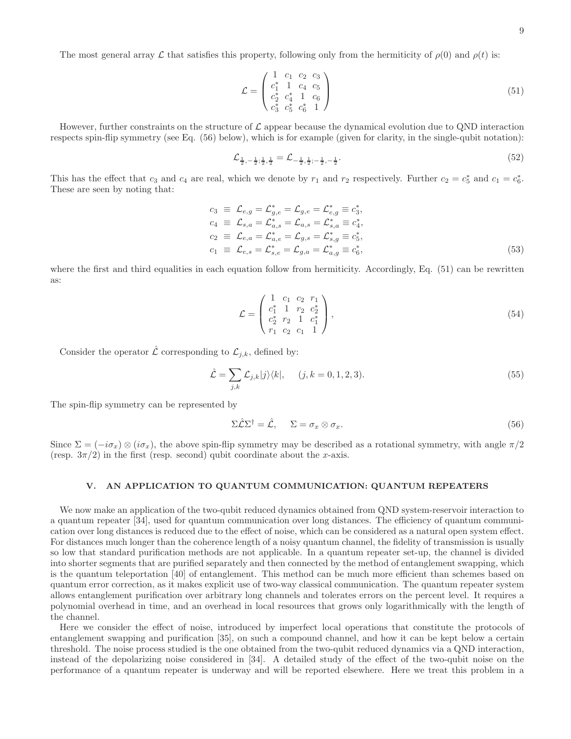$$
\mathcal{L} = \begin{pmatrix} 1 & c_1 & c_2 & c_3 \\ c_1^* & 1 & c_4 & c_5 \\ c_2^* & c_4^* & 1 & c_6 \\ c_3^* & c_5^* & c_6^* & 1 \end{pmatrix} \tag{51}
$$

However, further constraints on the structure of  $\mathcal L$  appear because the dynamical evolution due to QND interaction respects spin-flip symmetry (see Eq. (56) below), which is for example (given for clarity, in the single-qubit notation):

$$
\mathcal{L}_{\frac{1}{2}, -\frac{1}{2}; \frac{1}{2}, \frac{1}{2}} = \mathcal{L}_{-\frac{1}{2}, \frac{1}{2}; -\frac{1}{2}, -\frac{1}{2}}.
$$
\n(52)

This has the effect that  $c_3$  and  $c_4$  are real, which we denote by  $r_1$  and  $r_2$  respectively. Further  $c_2 = c_5^*$  and  $c_1 = c_6^*$ . These are seen by noting that:

$$
c_3 \equiv \mathcal{L}_{e,g} = \mathcal{L}_{g,e}^* = \mathcal{L}_{g,e} = \mathcal{L}_{e,g}^* \equiv c_3^*,
$$
  
\n
$$
c_4 \equiv \mathcal{L}_{s,a} = \mathcal{L}_{a,s}^* = \mathcal{L}_{a,s} = \mathcal{L}_{s,a}^* \equiv c_4^*,
$$
  
\n
$$
c_2 \equiv \mathcal{L}_{e,a} = \mathcal{L}_{a,e}^* = \mathcal{L}_{g,s} = \mathcal{L}_{s,g}^* \equiv c_5^*,
$$
  
\n
$$
c_1 \equiv \mathcal{L}_{e,s} = \mathcal{L}_{s,e}^* = \mathcal{L}_{g,a} = \mathcal{L}_{a,g}^* \equiv c_6^*,
$$
\n(53)

where the first and third equalities in each equation follow from hermiticity. Accordingly, Eq. (51) can be rewritten as:

$$
\mathcal{L} = \begin{pmatrix} 1 & c_1 & c_2 & r_1 \\ c_1^* & 1 & r_2 & c_2^* \\ c_2^* & r_2 & 1 & c_1^* \\ r_1 & c_2 & c_1 & 1 \end{pmatrix},\tag{54}
$$

Consider the operator  $\hat{\mathcal{L}}$  corresponding to  $\mathcal{L}_{i,k}$ , defined by:

$$
\hat{\mathcal{L}} = \sum_{j,k} \mathcal{L}_{j,k} |j\rangle\langle k|, \quad (j,k = 0, 1, 2, 3). \tag{55}
$$

The spin-flip symmetry can be represented by

$$
\Sigma \hat{\mathcal{L}} \Sigma^{\dagger} = \hat{\mathcal{L}}, \quad \Sigma = \sigma_x \otimes \sigma_x. \tag{56}
$$

Since  $\Sigma = (-i\sigma_x) \otimes (i\sigma_x)$ , the above spin-flip symmetry may be described as a rotational symmetry, with angle  $\pi/2$ (resp.  $3\pi/2$ ) in the first (resp. second) qubit coordinate about the x-axis.

## V. AN APPLICATION TO QUANTUM COMMUNICATION: QUANTUM REPEATERS

We now make an application of the two-qubit reduced dynamics obtained from QND system-reservoir interaction to a quantum repeater [34], used for quantum communication over long distances. The efficiency of quantum communication over long distances is reduced due to the effect of noise, which can be considered as a natural open system effect. For distances much longer than the coherence length of a noisy quantum channel, the fidelity of transmission is usually so low that standard purification methods are not applicable. In a quantum repeater set-up, the channel is divided into shorter segments that are purified separately and then connected by the method of entanglement swapping, which is the quantum teleportation [40] of entanglement. This method can be much more efficient than schemes based on quantum error correction, as it makes explicit use of two-way classical communication. The quantum repeater system allows entanglement purification over arbitrary long channels and tolerates errors on the percent level. It requires a polynomial overhead in time, and an overhead in local resources that grows only logarithmically with the length of the channel.

Here we consider the effect of noise, introduced by imperfect local operations that constitute the protocols of entanglement swapping and purification [35], on such a compound channel, and how it can be kept below a certain threshold. The noise process studied is the one obtained from the two-qubit reduced dynamics via a QND interaction, instead of the depolarizing noise considered in [34]. A detailed study of the effect of the two-qubit noise on the performance of a quantum repeater is underway and will be reported elsewhere. Here we treat this problem in a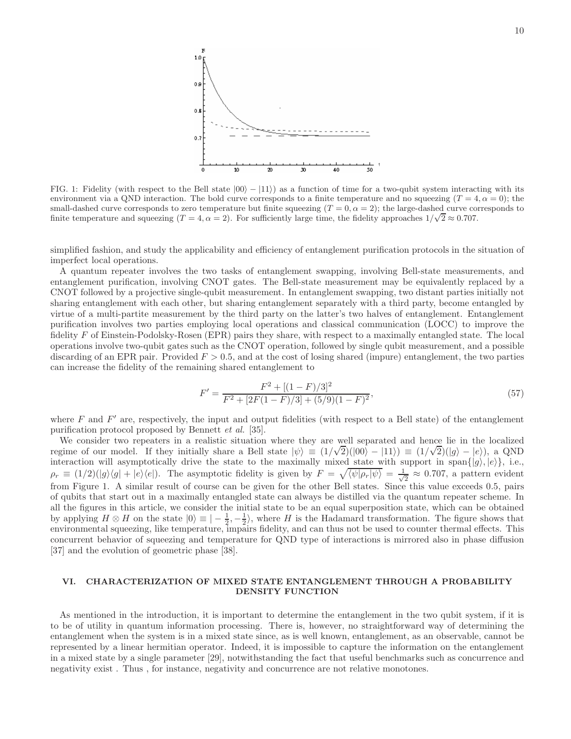

FIG. 1: Fidelity (with respect to the Bell state  $|00\rangle - |11\rangle$ ) as a function of time for a two-qubit system interacting with its environment via a QND interaction. The bold curve corresponds to a finite temperature and no squeezing  $(T = 4, \alpha = 0)$ ; the small-dashed curve corresponds to zero temperature but finite squeezing  $(T = 0, \alpha = 2)$ ; the large-dashed curve corresponds to finite temperature and squeezing  $(T = 4, \alpha = 2)$ . For sufficiently large time, the fidelity approaches  $1/\sqrt{2} \approx 0.707$ .

simplified fashion, and study the applicability and efficiency of entanglement purification protocols in the situation of imperfect local operations.

A quantum repeater involves the two tasks of entanglement swapping, involving Bell-state measurements, and entanglement purification, involving CNOT gates. The Bell-state measurement may be equivalently replaced by a CNOT followed by a projective single-qubit measurement. In entanglement swapping, two distant parties initially not sharing entanglement with each other, but sharing entanglement separately with a third party, become entangled by virtue of a multi-partite measurement by the third party on the latter's two halves of entanglement. Entanglement purification involves two parties employing local operations and classical communication (LOCC) to improve the fidelity F of Einstein-Podolsky-Rosen (EPR) pairs they share, with respect to a maximally entangled state. The local operations involve two-qubit gates such as the CNOT operation, followed by single qubit measurement, and a possible discarding of an EPR pair. Provided  $F > 0.5$ , and at the cost of losing shared (impure) entanglement, the two parties can increase the fidelity of the remaining shared entanglement to

$$
F' = \frac{F^2 + [(1 - F)/3]^2}{F^2 + [2F(1 - F)/3] + (5/9)(1 - F)^2},\tag{57}
$$

where  $F$  and  $F'$  are, respectively, the input and output fidelities (with respect to a Bell state) of the entanglement purification protocol proposed by Bennett et al. [35].

We consider two repeaters in a realistic situation where they are well separated and hence lie in the localized regime of our model. If they initially share a Bell state  $|\psi\rangle \equiv (1/\sqrt{2})(|00\rangle - |11\rangle) \equiv (1/\sqrt{2})(|g\rangle - |e\rangle)$ , a QND interaction will asymptotically drive the state to the maximally mixed state with support in span $\{|g\rangle, |e\rangle\}$ , i.e.,  $\rho_r \equiv (1/2)(|g\rangle\langle g| + |e\rangle\langle e|)$ . The asymptotic fidelity is given by  $F = \sqrt{\langle \psi | \rho_r | \psi \rangle} = \frac{1}{\sqrt{\langle \psi | \rho_r | \psi \rangle}}$  $\frac{1}{2} \approx 0.707$ , a pattern evident from Figure 1. A similar result of course can be given for the other Bell states. Since this value exceeds 0.5, pairs of qubits that start out in a maximally entangled state can always be distilled via the quantum repeater scheme. In all the figures in this article, we consider the initial state to be an equal superposition state, which can be obtained by applying  $H \otimes H$  on the state  $|0\rangle \equiv |-\frac{1}{2}, -\frac{1}{2}\rangle$ , where H is the Hadamard transformation. The figure shows that environmental squeezing, like temperature, impairs fidelity, and can thus not be used to counter thermal effects. This concurrent behavior of squeezing and temperature for QND type of interactions is mirrored also in phase diffusion [37] and the evolution of geometric phase [38].

# VI. CHARACTERIZATION OF MIXED STATE ENTANGLEMENT THROUGH A PROBABILITY DENSITY FUNCTION

As mentioned in the introduction, it is important to determine the entanglement in the two qubit system, if it is to be of utility in quantum information processing. There is, however, no straightforward way of determining the entanglement when the system is in a mixed state since, as is well known, entanglement, as an observable, cannot be represented by a linear hermitian operator. Indeed, it is impossible to capture the information on the entanglement in a mixed state by a single parameter [29], notwithstanding the fact that useful benchmarks such as concurrence and negativity exist . Thus , for instance, negativity and concurrence are not relative monotones.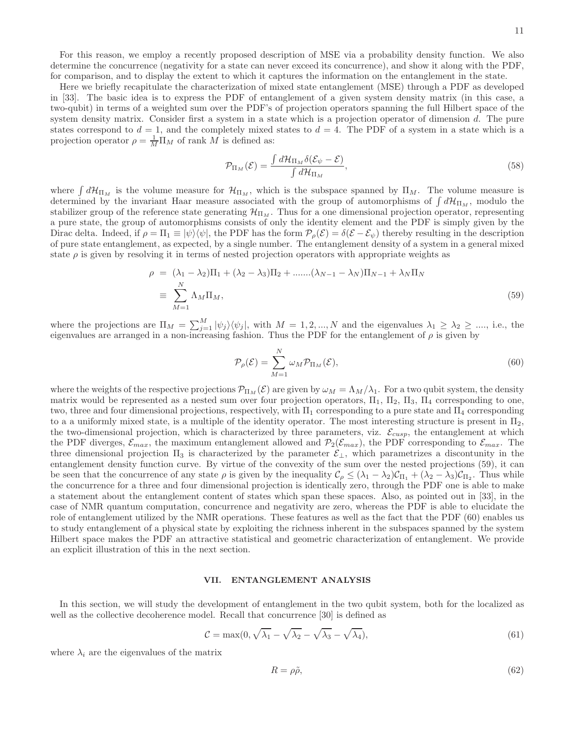For this reason, we employ a recently proposed description of MSE via a probability density function. We also determine the concurrence (negativity for a state can never exceed its concurrence), and show it along with the PDF, for comparison, and to display the extent to which it captures the information on the entanglement in the state.

Here we briefly recapitulate the characterization of mixed state entanglement (MSE) through a PDF as developed in [33]. The basic idea is to express the PDF of entanglement of a given system density matrix (in this case, a two-qubit) in terms of a weighted sum over the PDF's of projection operators spanning the full Hilbert space of the system density matrix. Consider first a system in a state which is a projection operator of dimension d. The pure states correspond to  $d = 1$ , and the completely mixed states to  $d = 4$ . The PDF of a system in a state which is a projection operator  $\rho = \frac{1}{M} \Pi_M$  of rank M is defined as:

$$
\mathcal{P}_{\Pi_M}(\mathcal{E}) = \frac{\int d\mathcal{H}_{\Pi_M} \delta(\mathcal{E}_{\psi} - \mathcal{E})}{\int d\mathcal{H}_{\Pi_M}},\tag{58}
$$

where  $\int d\mathcal{H}_{\Pi_M}$  is the volume measure for  $\mathcal{H}_{\Pi_M}$ , which is the subspace spanned by  $\Pi_M$ . The volume measure is determined by the invariant Haar measure associated with the group of automorphisms of  $\int d\mathcal{H}_{\Pi_M}$ , modulo the stabilizer group of the reference state generating  $\mathcal{H}_{\Pi_M}$ . Thus for a one dimensional projection operator, representing a pure state, the group of automorphisms consists of only the identity element and the PDF is simply given by the Dirac delta. Indeed, if  $\rho = \Pi_1 \equiv |\psi\rangle\langle\psi|$ , the PDF has the form  $\mathcal{P}_{\rho}(\mathcal{E}) = \delta(\mathcal{E} - \mathcal{E}_{\psi})$  thereby resulting in the description of pure state entanglement, as expected, by a single number. The entanglement density of a system in a general mixed state  $\rho$  is given by resolving it in terms of nested projection operators with appropriate weights as

$$
\rho = (\lambda_1 - \lambda_2)\Pi_1 + (\lambda_2 - \lambda_3)\Pi_2 + \dots + (\lambda_{N-1} - \lambda_N)\Pi_{N-1} + \lambda_N\Pi_N
$$
  
\n
$$
\equiv \sum_{M=1}^{N} \Lambda_M\Pi_M, \qquad (59)
$$

where the projections are  $\Pi_M = \sum_{j=1}^M |\psi_j\rangle\langle\psi_j|$ , with  $M = 1, 2, ..., N$  and the eigenvalues  $\lambda_1 \geq \lambda_2 \geq ...$ , i.e., the eigenvalues are arranged in a non-increasing fashion. Thus the PDF for the entanglement of  $\rho$  is given by

$$
\mathcal{P}_{\rho}(\mathcal{E}) = \sum_{M=1}^{N} \omega_M \mathcal{P}_{\Pi_M}(\mathcal{E}),\tag{60}
$$

where the weights of the respective projections  $\mathcal{P}_{\Pi_M}(\mathcal{E})$  are given by  $\omega_M = \Lambda_M/\lambda_1$ . For a two qubit system, the density matrix would be represented as a nested sum over four projection operators,  $\Pi_1$ ,  $\Pi_2$ ,  $\Pi_3$ ,  $\Pi_4$  corresponding to one, two, three and four dimensional projections, respectively, with  $\Pi_1$  corresponding to a pure state and  $\Pi_4$  corresponding to a a uniformly mixed state, is a multiple of the identity operator. The most interesting structure is present in  $\Pi_2$ , the two-dimensional projection, which is characterized by three parameters, viz.  $\mathcal{E}_{cusp}$ , the entanglement at which the PDF diverges,  $\mathcal{E}_{max}$ , the maximum entanglement allowed and  $\mathcal{P}_2(\mathcal{E}_{max})$ , the PDF corresponding to  $\mathcal{E}_{max}$ . The three dimensional projection  $\Pi_3$  is characterized by the parameter  $\mathcal{E}_\perp$ , which parametrizes a discontunity in the entanglement density function curve. By virtue of the convexity of the sum over the nested projections (59), it can be seen that the concurrence of any state  $\rho$  is given by the inequality  $\mathcal{C}_{\rho} \leq (\lambda_1 - \lambda_2)\mathcal{C}_{\Pi_1} + (\lambda_2 - \lambda_3)\mathcal{C}_{\Pi_2}$ . Thus while the concurrence for a three and four dimensional projection is identically zero, through the PDF one is able to make a statement about the entanglement content of states which span these spaces. Also, as pointed out in [33], in the case of NMR quantum computation, concurrence and negativity are zero, whereas the PDF is able to elucidate the role of entanglement utilized by the NMR operations. These features as well as the fact that the PDF (60) enables us to study entanglement of a physical state by exploiting the richness inherent in the subspaces spanned by the system Hilbert space makes the PDF an attractive statistical and geometric characterization of entanglement. We provide an explicit illustration of this in the next section.

#### VII. ENTANGLEMENT ANALYSIS

In this section, we will study the development of entanglement in the two qubit system, both for the localized as well as the collective decoherence model. Recall that concurrence [30] is defined as

$$
C = \max(0, \sqrt{\lambda_1} - \sqrt{\lambda_2} - \sqrt{\lambda_3} - \sqrt{\lambda_4}), \tag{61}
$$

where  $\lambda_i$  are the eigenvalues of the matrix

$$
R = \rho \tilde{\rho},\tag{62}
$$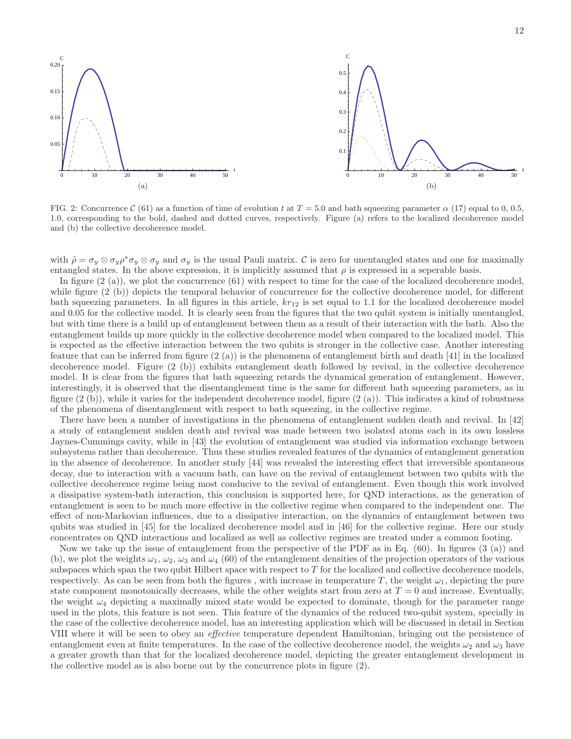

FIG. 2: Concurrence C (61) as a function of time of evolution t at  $T = 5.0$  and bath squeezing parameter  $\alpha$  (17) equal to 0, 0.5, 1.0, corresponding to the bold, dashed and dotted curves, respectively. Figure (a) refers to the localized decoherence model and (b) the collective decoherence model.

with  $\tilde{\rho} = \sigma_y \otimes \sigma_y \rho^* \sigma_y \otimes \sigma_y$  and  $\sigma_y$  is the usual Pauli matrix. C is zero for unentangled states and one for maximally entangled states. In the above expression, it is implicitly assumed that  $\rho$  is expressed in a seperable basis.

In figure  $(2 \text{ (a)}),$  we plot the concurrence  $(61)$  with respect to time for the case of the localized decoherence model, while figure  $(2 \text{ (b)})$  depicts the temporal behavior of concurrence for the collective decoherence model, for different bath squeezing parameters. In all figures in this article,  $kr_{12}$  is set equal to 1.1 for the localized decoherence model and 0.05 for the collective model. It is clearly seen from the figures that the two qubit system is initially unentangled, but with time there is a build up of entanglement between them as a result of their interaction with the bath. Also the entanglement builds up more quickly in the collective decoherence model when compared to the localized model. This is expected as the effective interaction between the two qubits is stronger in the collective case. Another interesting feature that can be inferred from figure (2 (a)) is the phenomena of entanglement birth and death [41] in the localized decoherence model. Figure (2 (b)) exhibits entanglement death followed by revival, in the collective decoherence model. It is clear from the figures that bath squeezing retards the dynamical generation of entanglement. However, interestingly, it is observed that the disentanglement time is the same for different bath squeezing parameters, as in figure  $(2 (b))$ , while it varies for the independent decoherence model, figure  $(2 (a))$ . This indicates a kind of robustness of the phenomena of disentanglement with respect to bath squeezing, in the collective regime.

There have been a number of investigations in the phenomena of entanglement sudden death and revival. In [42] a study of entanglement sudden death and revival was made between two isolated atoms each in its own lossless Jaynes-Cummings cavity, while in [43] the evolution of entanglement was studied via information exchange between subsystems rather than decoherence. Thus these studies revealed features of the dynamics of entanglement generation in the absence of decoherence. In another study [44] was revealed the interesting effect that irreversible spontaneous decay, due to interaction with a vacuum bath, can have on the revival of entanglement between two qubits with the collective decoherence regime being most conducive to the revival of entanglement. Even though this work involved a dissipative system-bath interaction, this conclusion is supported here, for QND interactions, as the generation of entanglement is seen to be much more effective in the collective regime when compared to the independent one. The effect of non-Markovian influences, due to a dissipative interaction, on the dynamics of entanglement between two qubits was studied in [45] for the localized decoherence model and in [46] for the collective regime. Here our study concentrates on QND interactions and localized as well as collective regimes are treated under a common footing.

Now we take up the issue of entanglement from the perspective of the PDF as in Eq. (60). In figures (3 (a)) and (b), we plot the weights  $\omega_1, \omega_2, \omega_3$  and  $\omega_4$  (60) of the entanglement densities of the projection operators of the various subspaces which span the two qubit Hilbert space with respect to  $T$  for the localized and collective decoherence models, respectively. As can be seen from both the figures, with increase in temperature T, the weight  $\omega_1$ , depicting the pure state component monotonically decreases, while the other weights start from zero at  $T = 0$  and increase. Eventually, the weight  $\omega_4$  depicting a maximally mixed state would be expected to dominate, though for the parameter range used in the plots, this feature is not seen. This feature of the dynamics of the reduced two-qubit system, specially in the case of the collective decoherence model, has an interesting application which will be discussed in detail in Section VIII where it will be seen to obey an effective temperature dependent Hamiltonian, bringing out the persistence of entanglement even at finite temperatures. In the case of the collective decoherence model, the weights  $\omega_2$  and  $\omega_3$  have a greater growth than that for the localized decoherence model, depicting the greater entanglement development in the collective model as is also borne out by the concurrence plots in figure (2).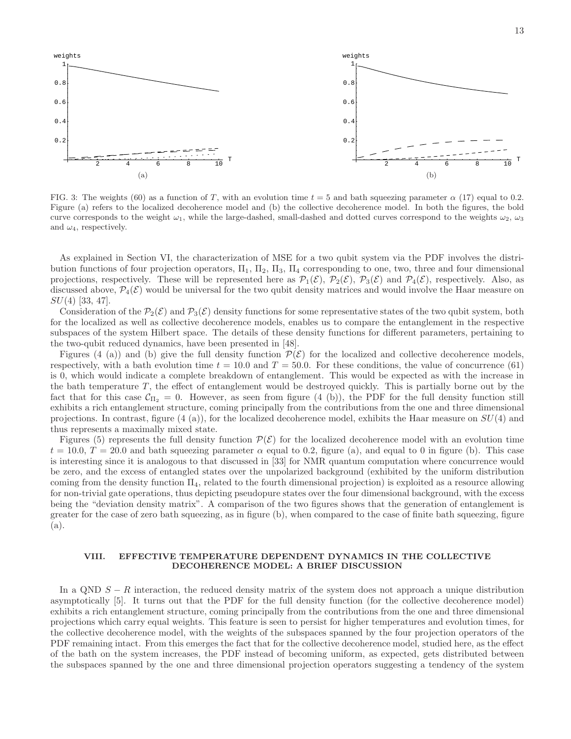

FIG. 3: The weights (60) as a function of T, with an evolution time  $t = 5$  and bath squeezing parameter  $\alpha$  (17) equal to 0.2. Figure (a) refers to the localized decoherence model and (b) the collective decoherence model. In both the figures, the bold curve corresponds to the weight  $\omega_1$ , while the large-dashed, small-dashed and dotted curves correspond to the weights  $\omega_2$ ,  $\omega_3$ and  $\omega_4$ , respectively.

As explained in Section VI, the characterization of MSE for a two qubit system via the PDF involves the distribution functions of four projection operators,  $\Pi_1$ ,  $\Pi_2$ ,  $\Pi_3$ ,  $\Pi_4$  corresponding to one, two, three and four dimensional projections, respectively. These will be represented here as  $\mathcal{P}_1(\mathcal{E}), \mathcal{P}_2(\mathcal{E}), \mathcal{P}_3(\mathcal{E})$  and  $\mathcal{P}_4(\mathcal{E}),$  respectively. Also, as discussed above,  $P_4(\mathcal{E})$  would be universal for the two qubit density matrices and would involve the Haar measure on  $SU(4)$  [33, 47].

Consideration of the  $\mathcal{P}_2(\mathcal{E})$  and  $\mathcal{P}_3(\mathcal{E})$  density functions for some representative states of the two qubit system, both for the localized as well as collective decoherence models, enables us to compare the entanglement in the respective subspaces of the system Hilbert space. The details of these density functions for different parameters, pertaining to the two-qubit reduced dynamics, have been presented in [48].

Figures (4 (a)) and (b) give the full density function  $P(\mathcal{E})$  for the localized and collective decoherence models, respectively, with a bath evolution time  $t = 10.0$  and  $T = 50.0$ . For these conditions, the value of concurrence (61) is 0, which would indicate a complete breakdown of entanglement. This would be expected as with the increase in the bath temperature T, the effect of entanglement would be destroyed quickly. This is partially borne out by the fact that for this case  $\mathcal{C}_{\Pi_2} = 0$ . However, as seen from figure (4 (b)), the PDF for the full density function still exhibits a rich entanglement structure, coming principally from the contributions from the one and three dimensional projections. In contrast, figure  $(4 \text{ (a)}),$  for the localized decoherence model, exhibits the Haar measure on  $SU(4)$  and thus represents a maximally mixed state.

Figures (5) represents the full density function  $P(\mathcal{E})$  for the localized decoherence model with an evolution time  $t = 10.0, T = 20.0$  and bath squeezing parameter  $\alpha$  equal to 0.2, figure (a), and equal to 0 in figure (b). This case is interesting since it is analogous to that discussed in [33] for NMR quantum computation where concurrence would be zero, and the excess of entangled states over the unpolarized background (exhibited by the uniform distribution coming from the density function  $\Pi_4$ , related to the fourth dimensional projection) is exploited as a resource allowing for non-trivial gate operations, thus depicting pseudopure states over the four dimensional background, with the excess being the "deviation density matrix". A comparison of the two figures shows that the generation of entanglement is greater for the case of zero bath squeezing, as in figure (b), when compared to the case of finite bath squeezing, figure (a).

## VIII. EFFECTIVE TEMPERATURE DEPENDENT DYNAMICS IN THE COLLECTIVE DECOHERENCE MODEL: A BRIEF DISCUSSION

In a QND  $S - R$  interaction, the reduced density matrix of the system does not approach a unique distribution asymptotically [5]. It turns out that the PDF for the full density function (for the collective decoherence model) exhibits a rich entanglement structure, coming principally from the contributions from the one and three dimensional projections which carry equal weights. This feature is seen to persist for higher temperatures and evolution times, for the collective decoherence model, with the weights of the subspaces spanned by the four projection operators of the PDF remaining intact. From this emerges the fact that for the collective decoherence model, studied here, as the effect of the bath on the system increases, the PDF instead of becoming uniform, as expected, gets distributed between the subspaces spanned by the one and three dimensional projection operators suggesting a tendency of the system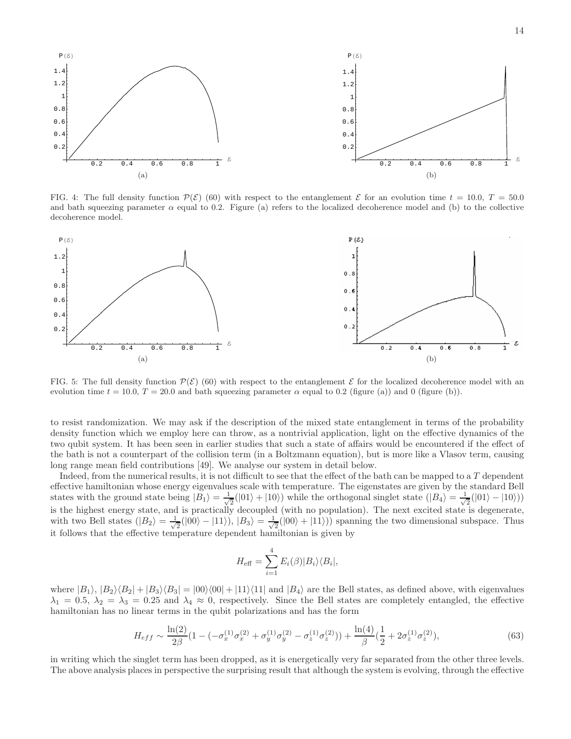

FIG. 4: The full density function  $\mathcal{P}(\mathcal{E})$  (60) with respect to the entanglement  $\mathcal{E}$  for an evolution time  $t = 10.0$ ,  $T = 50.0$ and bath squeezing parameter  $\alpha$  equal to 0.2. Figure (a) refers to the localized decoherence model and (b) to the collective decoherence model.



FIG. 5: The full density function  $\mathcal{P}(\mathcal{E})$  (60) with respect to the entanglement  $\mathcal E$  for the localized decoherence model with an evolution time  $t = 10.0$ ,  $T = 20.0$  and bath squeezing parameter  $\alpha$  equal to 0.2 (figure (a)) and 0 (figure (b)).

to resist randomization. We may ask if the description of the mixed state entanglement in terms of the probability density function which we employ here can throw, as a nontrivial application, light on the effective dynamics of the two qubit system. It has been seen in earlier studies that such a state of affairs would be encountered if the effect of the bath is not a counterpart of the collision term (in a Boltzmann equation), but is more like a Vlasov term, causing long range mean field contributions [49]. We analyse our system in detail below.

Indeed, from the numerical results, it is not difficult to see that the effect of the bath can be mapped to a  $T$  dependent effective hamiltonian whose energy eigenvalues scale with temperature. The eigenstates are given by the standard Bell states with the ground state being  $|B_1\rangle = \frac{1}{\sqrt{2}}$  $\frac{1}{2}(|01\rangle + |10\rangle)$  while the orthogonal singlet state  $(|B_4\rangle = \frac{1}{\sqrt{2}}$  $\frac{1}{2}(|01\rangle - |10\rangle))$ is the highest energy state, and is practically decoupled (with no population). The next excited state is degenerate, with two Bell states  $(|B_2\rangle = \frac{1}{\sqrt{2}}$  $\frac{1}{2}(|00\rangle - |11\rangle), |B_3\rangle = \frac{1}{\sqrt{2}}$  $\frac{1}{2}(|00\rangle + |11\rangle)$  spanning the two dimensional subspace. Thus it follows that the effective temperature dependent hamiltonian is given by

$$
H_{\text{eff}} = \sum_{i=1}^{4} E_i(\beta) |B_i\rangle\langle B_i|,
$$

where  $|B_1\rangle$ ,  $|B_2\rangle\langle B_2| + |B_3\rangle\langle B_3| = |00\rangle\langle 00| + |11\rangle\langle 11|$  and  $|B_4\rangle$  are the Bell states, as defined above, with eigenvalues  $\lambda_1 = 0.5, \lambda_2 = \lambda_3 = 0.25$  and  $\lambda_4 \approx 0$ , respectively. Since the Bell states are completely entangled, the effective hamiltonian has no linear terms in the qubit polarizations and has the form

$$
H_{eff} \sim \frac{\ln(2)}{2\beta} (1 - (-\sigma_x^{(1)} \sigma_x^{(2)} + \sigma_y^{(1)} \sigma_y^{(2)} - \sigma_z^{(1)} \sigma_z^{(2)})) + \frac{\ln(4)}{\beta} (\frac{1}{2} + 2\sigma_z^{(1)} \sigma_z^{(2)}), \tag{63}
$$

in writing which the singlet term has been dropped, as it is energetically very far separated from the other three levels. The above analysis places in perspective the surprising result that although the system is evolving, through the effective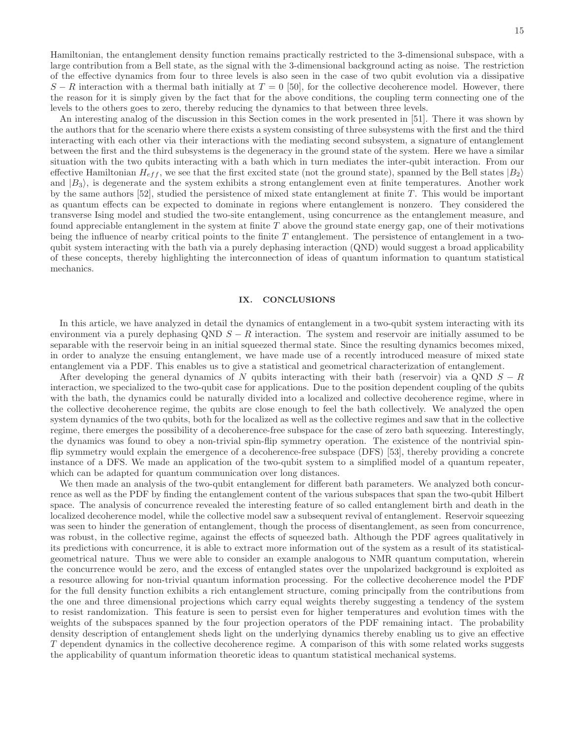Hamiltonian, the entanglement density function remains practically restricted to the 3-dimensional subspace, with a large contribution from a Bell state, as the signal with the 3-dimensional background acting as noise. The restriction of the effective dynamics from four to three levels is also seen in the case of two qubit evolution via a dissipative  $S - R$  interaction with a thermal bath initially at  $T = 0$  [50], for the collective decoherence model. However, there the reason for it is simply given by the fact that for the above conditions, the coupling term connecting one of the levels to the others goes to zero, thereby reducing the dynamics to that between three levels.

An interesting analog of the discussion in this Section comes in the work presented in [51]. There it was shown by the authors that for the scenario where there exists a system consisting of three subsystems with the first and the third interacting with each other via their interactions with the mediating second subsystem, a signature of entanglement between the first and the third subsystems is the degeneracy in the ground state of the system. Here we have a similar situation with the two qubits interacting with a bath which in turn mediates the inter-qubit interaction. From our effective Hamiltonian  $H_{eff}$ , we see that the first excited state (not the ground state), spanned by the Bell states  $|B_2\rangle$ and  $|B_3\rangle$ , is degenerate and the system exhibits a strong entanglement even at finite temperatures. Another work by the same authors  $[52]$ , studied the persistence of mixed state entanglement at finite  $T$ . This would be important as quantum effects can be expected to dominate in regions where entanglement is nonzero. They considered the transverse Ising model and studied the two-site entanglement, using concurrence as the entanglement measure, and found appreciable entanglement in the system at finite  $T$  above the ground state energy gap, one of their motivations being the influence of nearby critical points to the finite  $T$  entanglement. The persistence of entanglement in a twoqubit system interacting with the bath via a purely dephasing interaction (QND) would suggest a broad applicability of these concepts, thereby highlighting the interconnection of ideas of quantum information to quantum statistical mechanics.

## IX. CONCLUSIONS

In this article, we have analyzed in detail the dynamics of entanglement in a two-qubit system interacting with its environment via a purely dephasing QND  $S - R$  interaction. The system and reservoir are initially assumed to be separable with the reservoir being in an initial squeezed thermal state. Since the resulting dynamics becomes mixed, in order to analyze the ensuing entanglement, we have made use of a recently introduced measure of mixed state entanglement via a PDF. This enables us to give a statistical and geometrical characterization of entanglement.

After developing the general dynamics of N qubits interacting with their bath (reservoir) via a QND  $S - R$ interaction, we specialized to the two-qubit case for applications. Due to the position dependent coupling of the qubits with the bath, the dynamics could be naturally divided into a localized and collective decoherence regime, where in the collective decoherence regime, the qubits are close enough to feel the bath collectively. We analyzed the open system dynamics of the two qubits, both for the localized as well as the collective regimes and saw that in the collective regime, there emerges the possibility of a decoherence-free subspace for the case of zero bath squeezing. Interestingly, the dynamics was found to obey a non-trivial spin-flip symmetry operation. The existence of the nontrivial spinflip symmetry would explain the emergence of a decoherence-free subspace (DFS) [53], thereby providing a concrete instance of a DFS. We made an application of the two-qubit system to a simplified model of a quantum repeater, which can be adapted for quantum communication over long distances.

We then made an analysis of the two-qubit entanglement for different bath parameters. We analyzed both concurrence as well as the PDF by finding the entanglement content of the various subspaces that span the two-qubit Hilbert space. The analysis of concurrence revealed the interesting feature of so called entanglement birth and death in the localized decoherence model, while the collective model saw a subsequent revival of entanglement. Reservoir squeezing was seen to hinder the generation of entanglement, though the process of disentanglement, as seen from concurrence, was robust, in the collective regime, against the effects of squeezed bath. Although the PDF agrees qualitatively in its predictions with concurrence, it is able to extract more information out of the system as a result of its statisticalgeometrical nature. Thus we were able to consider an example analogous to NMR quantum computation, wherein the concurrence would be zero, and the excess of entangled states over the unpolarized background is exploited as a resource allowing for non-trivial quantum information processing. For the collective decoherence model the PDF for the full density function exhibits a rich entanglement structure, coming principally from the contributions from the one and three dimensional projections which carry equal weights thereby suggesting a tendency of the system to resist randomization. This feature is seen to persist even for higher temperatures and evolution times with the weights of the subspaces spanned by the four projection operators of the PDF remaining intact. The probability density description of entanglement sheds light on the underlying dynamics thereby enabling us to give an effective T dependent dynamics in the collective decoherence regime. A comparison of this with some related works suggests the applicability of quantum information theoretic ideas to quantum statistical mechanical systems.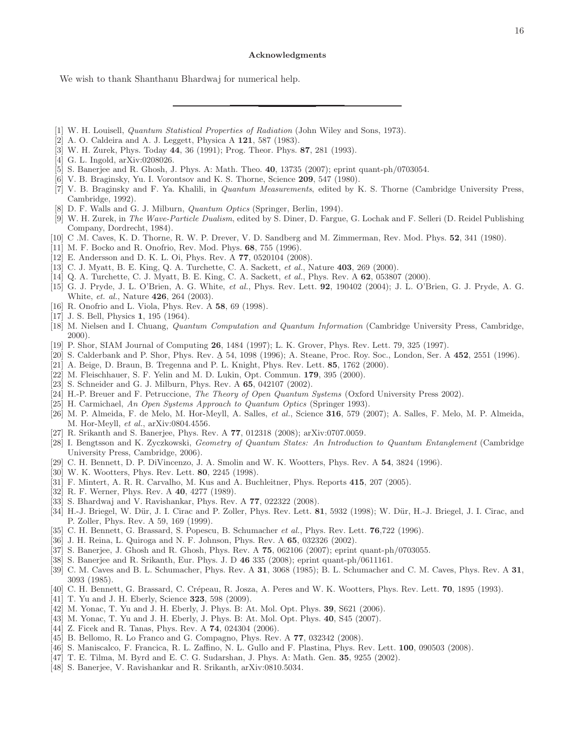We wish to thank Shanthanu Bhardwaj for numerical help.

- [1] W. H. Louisell, *Quantum Statistical Properties of Radiation* (John Wiley and Sons, 1973).
- [2] A. O. Caldeira and A. J. Leggett, Physica A 121, 587 (1983).
- [3] W. H. Zurek, Phys. Today 44, 36 (1991); Prog. Theor. Phys. 87, 281 (1993).
- [4] G. L. Ingold, arXiv:0208026.
- [5] S. Banerjee and R. Ghosh, J. Phys. A: Math. Theo. 40, 13735 (2007); eprint quant-ph/0703054.
- [6] V. B. Braginsky, Yu. I. Vorontsov and K. S. Thorne, Science 209, 547 (1980).
- [7] V. B. Braginsky and F. Ya. Khalili, in *Quantum Measurements*, edited by K. S. Thorne (Cambridge University Press, Cambridge, 1992).
- [8] D. F. Walls and G. J. Milburn, *Quantum Optics* (Springer, Berlin, 1994).
- [9] W. H. Zurek, in *The Wave-Particle Dualism*, edited by S. Diner, D. Fargue, G. Lochak and F. Selleri (D. Reidel Publishing Company, Dordrecht, 1984).
- [10] C .M. Caves, K. D. Thorne, R. W. P. Drever, V. D. Sandberg and M. Zimmerman, Rev. Mod. Phys. 52, 341 (1980).
- [11] M. F. Bocko and R. Onofrio, Rev. Mod. Phys. 68, 755 (1996).
- [12] E. Andersson and D. K. L. Oi, Phys. Rev. A 77, 0520104 (2008).
- [13] C. J. Myatt, B. E. King, Q. A. Turchette, C. A. Sackett, *et al.*, Nature 403, 269 (2000).
- [14] Q. A. Turchette, C. J. Myatt, B. E. King, C. A. Sackett, *et al.*, Phys. Rev. A 62, 053807 (2000).
- [15] G. J. Pryde, J. L. O'Brien, A. G. White, *et al.*, Phys. Rev. Lett. 92, 190402 (2004); J. L. O'Brien, G. J. Pryde, A. G. White, *et. al.*, Nature 426, 264 (2003).
- [16] R. Onofrio and L. Viola, Phys. Rev. A 58, 69 (1998).
- [17] J. S. Bell, Physics 1, 195 (1964).
- [18] M. Nielsen and I. Chuang, *Quantum Computation and Quantum Information* (Cambridge University Press, Cambridge, 2000).
- [19] P. Shor, SIAM Journal of Computing 26, 1484 (1997); L. K. Grover, Phys. Rev. Lett. 79, 325 (1997).
- [20] S. Calderbank and P. Shor, Phys. Rev. A 54, 1098 (1996); A. Steane, Proc. Roy. Soc., London, Ser. A 452, 2551 (1996).
- $[21]$  A. Beige, D. Braun, B. Tregenna and P. L. Knight, Phys. Rev. Lett. 85, 1762 (2000).
- [22] M. Fleischhauer, S. F. Yelin and M. D. Lukin, Opt. Commun. 179, 395 (2000).
- [23] S. Schneider and G. J. Milburn, Phys. Rev. A **65**, 042107 (2002).
- [24] H.-P. Breuer and F. Petruccione, *The Theory of Open Quantum Systems* (Oxford University Press 2002).
- [25] H. Carmichael, *An Open Systems Approach to Quantum Optics* (Springer 1993).
- [26] M. P. Almeida, F. de Melo, M. Hor-Meyll, A. Salles, *et al.*, Science 316, 579 (2007); A. Salles, F. Melo, M. P. Almeida, M. Hor-Meyll, *et al.*, arXiv:0804.4556.
- [27] R. Srikanth and S. Banerjee, Phys. Rev. A 77, 012318 (2008); arXiv:0707.0059.
- [28] I. Bengtsson and K. Zyczkowski, *Geometry of Quantum States: An Introduction to Quantum Entanglement* (Cambridge University Press, Cambridge, 2006).
- [29] C. H. Bennett, D. P. DiVincenzo, J. A. Smolin and W. K. Wootters, Phys. Rev. A 54, 3824 (1996).
- [30] W. K. Wootters, Phys. Rev. Lett. 80, 2245 (1998).
- [31] F. Mintert, A. R. R. Carvalho, M. Kus and A. Buchleitner, Phys. Reports 415, 207 (2005).
- [32] R. F. Werner, Phys. Rev. A 40, 4277 (1989).
- [33] S. Bhardwaj and V. Ravishankar, Phys. Rev. A 77, 022322 (2008).
- [34] H.-J. Briegel, W. Dür, J. I. Cirac and P. Zoller, Phys. Rev. Lett. 81, 5932 (1998); W. Dür, H.-J. Briegel, J. I. Cirac, and P. Zoller, Phys. Rev. A 59, 169 (1999).
- [35] C. H. Bennett, G. Brassard, S. Popescu, B. Schumacher *et al.*, Phys. Rev. Lett. 76,722 (1996).
- [36] J. H. Reina, L. Quiroga and N. F. Johnson, Phys. Rev. A 65, 032326 (2002).
- [37] S. Banerjee, J. Ghosh and R. Ghosh, Phys. Rev. A 75, 062106 (2007); eprint quant-ph/0703055.
- [38] S. Banerjee and R. Srikanth, Eur. Phys. J. D 46 335 (2008); eprint quant-ph/0611161.
- [39] C. M. Caves and B. L. Schumacher, Phys. Rev. A 31, 3068 (1985); B. L. Schumacher and C. M. Caves, Phys. Rev. A 31, 3093 (1985).
- [40] C. H. Bennett, G. Brassard, C. Crépeau, R. Josza, A. Peres and W. K. Wootters, Phys. Rev. Lett. 70, 1895 (1993).
- [41] T. Yu and J. H. Eberly, Science **323**, 598 (2009).
- [42] M. Yonac, T. Yu and J. H. Eberly, J. Phys. B: At. Mol. Opt. Phys. 39, S621 (2006).
- [43] M. Yonac, T. Yu and J. H. Eberly, J. Phys. B: At. Mol. Opt. Phys. 40, S45 (2007).
- [44] Z. Ficek and R. Tanas, Phys. Rev. A **74**, 024304 (2006).
- [45] B. Bellomo, R. Lo Franco and G. Compagno, Phys. Rev. A 77, 032342 (2008).
- [46] S. Maniscalco, F. Francica, R. L. Zaffino, N. L. Gullo and F. Plastina, Phys. Rev. Lett. 100, 090503 (2008).
- [47] T. E. Tilma, M. Byrd and E. C. G. Sudarshan, J. Phys. A: Math. Gen. 35, 9255 (2002).
- [48] S. Banerjee, V. Ravishankar and R. Srikanth, arXiv:0810.5034.